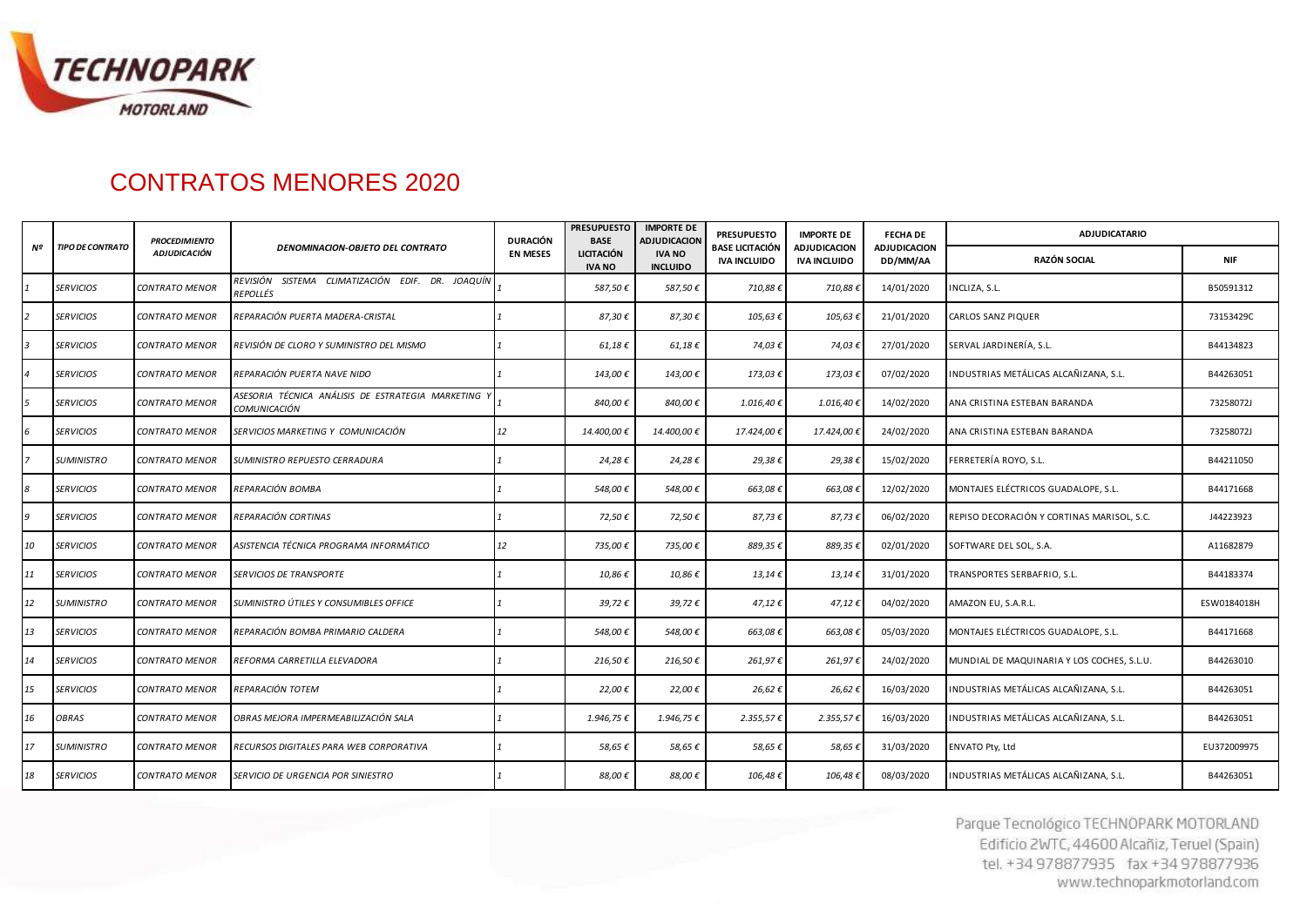

## CONTRATOS MENORES 2020

| Nº | <b>TIPO DE CONTRATO</b> | <b>PROCEDIMIENTO</b><br><b>ADJUDICACIÓN</b> | <b>DENOMINACION-OBJETO DEL CONTRATO</b>                             | <b>DURACIÓN</b><br><b>EN MESES</b> | <b>PRESUPUESTO</b><br><b>IMPORTE DE</b><br><b>BASE</b><br><b>ADJUDICACION</b> | <b>PRESUPUESTO</b>               | <b>IMPORTE DE</b>                             | <b>FECHA DE</b>                     | <b>ADJUDICATARIO</b>     |                                            |             |
|----|-------------------------|---------------------------------------------|---------------------------------------------------------------------|------------------------------------|-------------------------------------------------------------------------------|----------------------------------|-----------------------------------------------|-------------------------------------|--------------------------|--------------------------------------------|-------------|
|    |                         |                                             |                                                                     |                                    | <b>LICITACIÓN</b><br><b>IVA NO</b>                                            | <b>IVA NO</b><br><b>INCLUIDO</b> | <b>BASE LICITACIÓN</b><br><b>IVA INCLUIDO</b> | ADJUDICACION<br><b>IVA INCLUIDO</b> | ADJUDICACION<br>DD/MM/AA | <b>RAZÓN SOCIAL</b>                        | <b>NIF</b>  |
|    | <b>SERVICIOS</b>        | CONTRATO MENOR                              | REVISIÓN SISTEMA CLIMATIZACIÓN EDIF. DR. JOAQUÍN<br><b>REPOLLÉS</b> |                                    | 587,50€                                                                       | 587,50€                          | 710,88€                                       | 710,88€                             | 14/01/2020               | NCLIZA, S.L.                               | B50591312   |
|    | <b>SERVICIOS</b>        | <b>CONTRATO MENOR</b>                       | REPARACIÓN PUERTA MADERA-CRISTAL                                    |                                    | 87,30€                                                                        | 87,30€                           | 105,63€                                       | 105,63€                             | 21/01/2020               | CARLOS SANZ PIQUER                         | 73153429C   |
|    | <b>SERVICIOS</b>        | CONTRATO MENOR                              | REVISIÓN DE CLORO Y SUMINISTRO DEL MISMO                            |                                    | $61,18 \in$                                                                   | 61,18€                           | 74,03€                                        | 74,03€                              | 27/01/2020               | SERVAL JARDINERÍA, S.L.                    | B44134823   |
|    | <b>SERVICIOS</b>        | CONTRATO MENOR                              | REPARACIÓN PUERTA NAVE NIDO                                         |                                    | 143,00€                                                                       | 143,00€                          | 173,03€                                       | 173,03€                             | 07/02/2020               | INDUSTRIAS METÁLICAS ALCAÑIZANA, S.L.      | B44263051   |
|    | <b>SERVICIOS</b>        | CONTRATO MENOR                              | ASESORIA TÉCNICA ANÁLISIS DE ESTRATEGIA MARKETING '<br>COMUNICACIÓN |                                    | 840,00€                                                                       | 840,00€                          | 1.016,40€                                     | 1.016,40€                           | 14/02/2020               | ANA CRISTINA ESTEBAN BARANDA               | 73258072J   |
| 6  | <b>SERVICIOS</b>        | CONTRATO MENOR                              | SERVICIOS MARKETING Y COMUNICACIÓN                                  | 12                                 | 14.400,00€                                                                    | 14.400,00€                       | 17.424,00€                                    | 17.424,00€                          | 24/02/2020               | ANA CRISTINA ESTEBAN BARANDA               | 73258072J   |
|    | <b>SUMINISTRO</b>       | <b>CONTRATO MENOR</b>                       | SUMINISTRO REPUESTO CERRADURA                                       |                                    | 24,28€                                                                        | 24,28€                           | 29,38€                                        | 29,38€                              | 15/02/2020               | FERRETERÍA ROYO, S.L.                      | B44211050   |
|    | <b>SERVICIOS</b>        | <b>CONTRATO MENOR</b>                       | REPARACIÓN BOMBA                                                    |                                    | 548,00€                                                                       | 548,00€                          | 663,08€                                       | 663,08€                             | 12/02/2020               | MONTAJES ELÉCTRICOS GUADALOPE, S.L.        | B44171668   |
| q  | <b>SERVICIOS</b>        | CONTRATO MENOR                              | REPARACIÓN CORTINAS                                                 |                                    | 72,50€                                                                        | 72,50€                           | 87,73€                                        | 87,73€                              | 06/02/2020               | REPISO DECORACIÓN Y CORTINAS MARISOL, S.C. | J44223923   |
| 10 | <b>SERVICIOS</b>        | CONTRATO MENOR                              | ASISTENCIA TÉCNICA PROGRAMA INFORMÁTICO                             | 12                                 | 735,00€                                                                       | 735,00€                          | 889,35€                                       | 889,35€                             | 02/01/2020               | SOFTWARE DEL SOL, S.A.                     | A11682879   |
| 11 | <b>SERVICIOS</b>        | CONTRATO MENOR                              | <b>SERVICIOS DE TRANSPORTE</b>                                      |                                    | 10,86€                                                                        | 10,86€                           | $13,14 \in$                                   | $13,14 \in$                         | 31/01/2020               | TRANSPORTES SERBAFRIO, S.L.                | B44183374   |
| 12 | <b>SUMINISTRO</b>       | <b>CONTRATO MENOR</b>                       | SUMINISTRO ÚTILES Y CONSUMIBLES OFFICE                              |                                    | 39,72€                                                                        | 39,72€                           | 47,12€                                        | 47,12€                              | 04/02/2020               | AMAZON EU, S.A.R.L.                        | ESW0184018H |
| 13 | <b>SERVICIOS</b>        | CONTRATO MENOR                              | REPARACIÓN BOMBA PRIMARIO CALDERA                                   |                                    | 548,00€                                                                       | 548,00€                          | 663,08€                                       | 663,08€                             | 05/03/2020               | MONTAJES ELÉCTRICOS GUADALOPE, S.L.        | B44171668   |
| 14 | <b>SERVICIOS</b>        | CONTRATO MENOR                              | REFORMA CARRETILLA ELEVADORA                                        |                                    | 216,50€                                                                       | 216,50€                          | 261,97€                                       | 261,97€                             | 24/02/2020               | MUNDIAL DE MAQUINARIA Y LOS COCHES, S.L.U. | B44263010   |
| 15 | <b>SERVICIOS</b>        | CONTRATO MENOR                              | REPARACIÓN TOTEM                                                    |                                    | 22,00€                                                                        | 22,00€                           | 26,62€                                        | 26,62€                              | 16/03/2020               | INDUSTRIAS METÁLICAS ALCAÑIZANA, S.L.      | B44263051   |
| 16 | <b>OBRAS</b>            | <b>CONTRATO MENOR</b>                       | OBRAS MEJORA IMPERMEABILIZACIÓN SALA                                |                                    | 1.946,75€                                                                     | 1.946,75€                        | 2.355,57€                                     | $2.355,57$ €                        | 16/03/2020               | INDUSTRIAS METÁLICAS ALCAÑIZANA, S.L.      | B44263051   |
| 17 | <b>SUMINISTRO</b>       | <b>CONTRATO MENOR</b>                       | RECURSOS DIGITALES PARA WEB CORPORATIVA                             |                                    | 58,65€                                                                        | 58,65€                           | 58,65€                                        | 58,65€                              | 31/03/2020               | ENVATO Pty, Ltd                            | EU372009975 |
| 18 | <b>SERVICIOS</b>        | CONTRATO MENOR                              | SERVICIO DE URGENCIA POR SINIESTRO                                  |                                    | 88,00€                                                                        | 88,00€                           | 106,48€                                       | 106,48€                             | 08/03/2020               | INDUSTRIAS METÁLICAS ALCAÑIZANA. S.L.      | B44263051   |

Parque Tecnológico TECHNOPARK MOTORLAND Edificio 2WTC, 44600 Alcañiz, Teruel (Spain) tel. +34 978877935 fax +34 978877936 www.technoparkmotorland.com